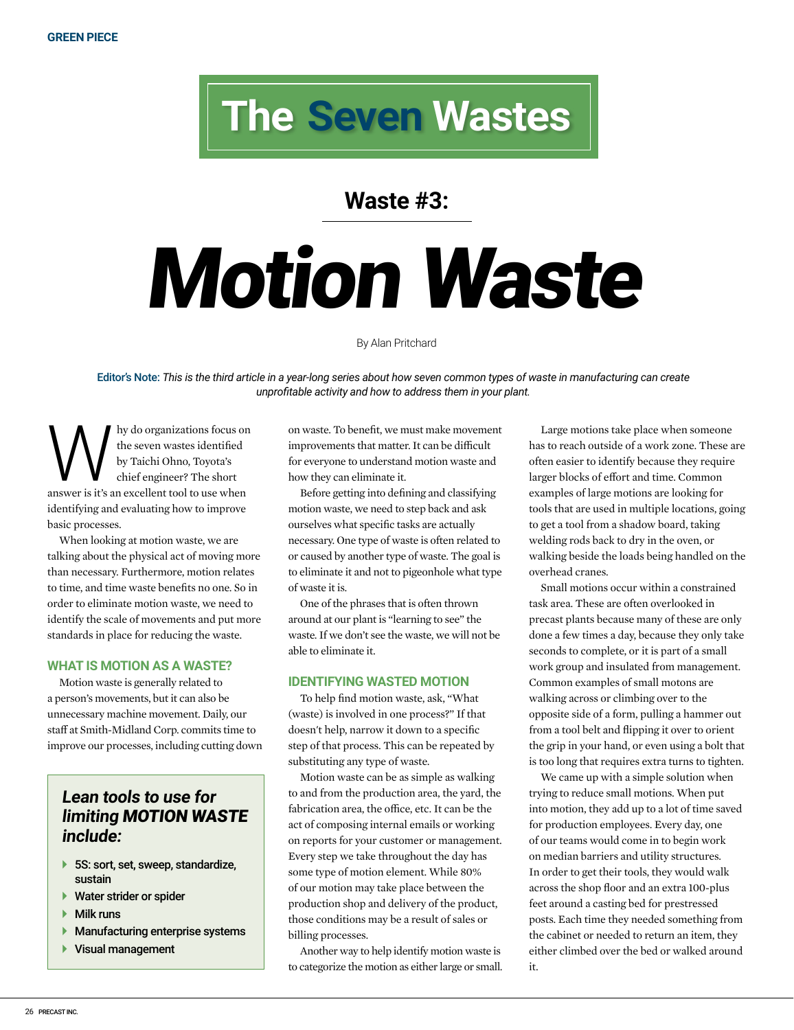## **The Seven Wastes**

### **Waste #3:**

# Motion Waste

#### By Alan Pritchard

Editor's Note: *This is the third article in a year-long series about how seven common types of waste in manufacturing can create unprofitable activity and how to address them in your plant.*

Why do organizations focus on<br>the seven wastes identified<br>by Taichi Ohno, Toyota's<br>chief engineer? The short<br>answer is it's an excellent tool to use when the seven wastes identified by Taichi Ohno, Toyota's chief engineer? The short identifying and evaluating how to improve basic processes.

When looking at motion waste, we are talking about the physical act of moving more than necessary. Furthermore, motion relates to time, and time waste benefits no one. So in order to eliminate motion waste, we need to identify the scale of movements and put more standards in place for reducing the waste.

#### **WHAT IS MOTION AS A WASTE?**

Motion waste is generally related to a person's movements, but it can also be unnecessary machine movement. Daily, our staff at Smith-Midland Corp. commits time to improve our processes, including cutting down

#### **Lean tools to use for limiting** MOTION WASTE **include:**

- ▶ 5S: sort, set, sweep, standardize, sustain
- ▶ Water strider or spider
- Milk runs
- Manufacturing enterprise systems
- ▶ Visual management

on waste. To benefit, we must make movement improvements that matter. It can be difficult for everyone to understand motion waste and how they can eliminate it.

Before getting into defining and classifying motion waste, we need to step back and ask ourselves what specific tasks are actually necessary. One type of waste is often related to or caused by another type of waste. The goal is to eliminate it and not to pigeonhole what type of waste it is.

One of the phrases that is often thrown around at our plant is "learning to see" the waste. If we don't see the waste, we will not be able to eliminate it.

#### **IDENTIFYING WASTED MOTION**

To help find motion waste, ask, "What (waste) is involved in one process?" If that doesn't help, narrow it down to a specific step of that process. This can be repeated by substituting any type of waste.

Motion waste can be as simple as walking to and from the production area, the yard, the fabrication area, the office, etc. It can be the act of composing internal emails or working on reports for your customer or management. Every step we take throughout the day has some type of motion element. While 80% of our motion may take place between the production shop and delivery of the product, those conditions may be a result of sales or billing processes.

Another way to help identify motion waste is to categorize the motion as either large or small.

Large motions take place when someone has to reach outside of a work zone. These are often easier to identify because they require larger blocks of effort and time. Common examples of large motions are looking for tools that are used in multiple locations, going to get a tool from a shadow board, taking welding rods back to dry in the oven, or walking beside the loads being handled on the overhead cranes.

Small motions occur within a constrained task area. These are often overlooked in precast plants because many of these are only done a few times a day, because they only take seconds to complete, or it is part of a small work group and insulated from management. Common examples of small motons are walking across or climbing over to the opposite side of a form, pulling a hammer out from a tool belt and flipping it over to orient the grip in your hand, or even using a bolt that is too long that requires extra turns to tighten.

We came up with a simple solution when trying to reduce small motions. When put into motion, they add up to a lot of time saved for production employees. Every day, one of our teams would come in to begin work on median barriers and utility structures. In order to get their tools, they would walk across the shop floor and an extra 100-plus feet around a casting bed for prestressed posts. Each time they needed something from the cabinet or needed to return an item, they either climbed over the bed or walked around it.